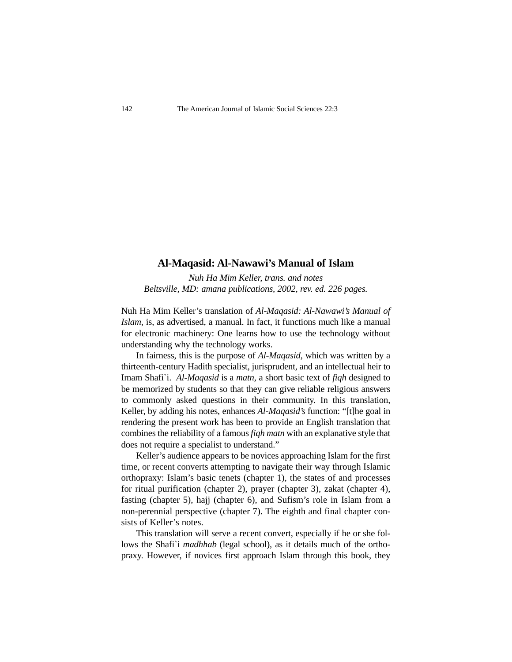## **Al-Maqasid: Al-Nawawi's Manual of Islam**

*Nuh Ha Mim Keller, trans. and notes Beltsville, MD: amana publications, 2002, rev. ed. 226 pages.*

Nuh Ha Mim Keller's translation of *Al-Maqasid: Al-Nawawi's Manual of Islam*, is, as advertised, a manual. In fact, it functions much like a manual for electronic machinery: One learns how to use the technology without understanding why the technology works.

In fairness, this is the purpose of *Al-Maqasid*, which was written by a thirteenth-century Hadith specialist, jurisprudent, and an intellectual heir to Imam Shafi`i. *Al-Maqasid* is a *matn*, a short basic text of *fiqh* designed to be memorized by students so that they can give reliable religious answers to commonly asked questions in their community. In this translation, Keller, by adding his notes, enhances *Al-Maqasid's* function: "[t]he goal in rendering the present work has been to provide an English translation that combines the reliability of a famous *fiqh matn* with an explanative style that does not require a specialist to understand."

Keller's audience appears to be novices approaching Islam for the first time, or recent converts attempting to navigate their way through Islamic orthopraxy: Islam's basic tenets (chapter 1), the states of and processes for ritual purification (chapter 2), prayer (chapter 3), zakat (chapter 4), fasting (chapter 5), hajj (chapter 6), and Sufism's role in Islam from a non-perennial perspective (chapter 7). The eighth and final chapter consists of Keller's notes.

This translation will serve a recent convert, especially if he or she follows the Shafi`i *madhhab* (legal school), as it details much of the orthopraxy. However, if novices first approach Islam through this book, they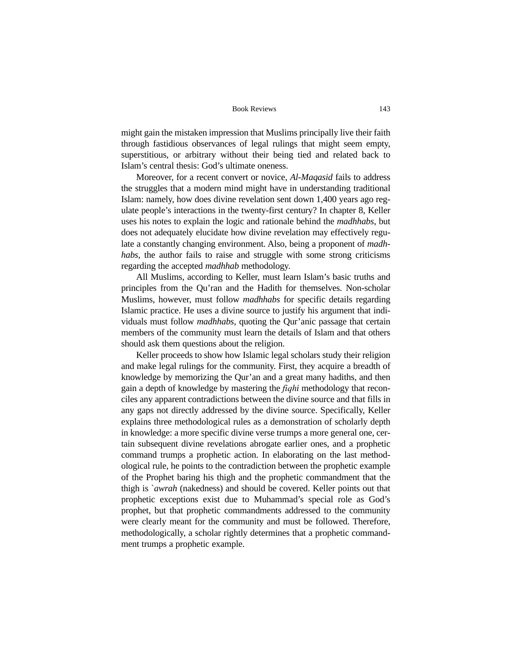might gain the mistaken impression that Muslims principally live their faith through fastidious observances of legal rulings that might seem empty, superstitious, or arbitrary without their being tied and related back to Islam's central thesis: God's ultimate oneness.

Moreover, for a recent convert or novice, *Al-Maqasid* fails to address the struggles that a modern mind might have in understanding traditional Islam: namely, how does divine revelation sent down 1,400 years ago regulate people's interactions in the twenty-first century? In chapter 8, Keller uses his notes to explain the logic and rationale behind the *madhhabs*, but does not adequately elucidate how divine revelation may effectively regulate a constantly changing environment. Also, being a proponent of *madhhabs*, the author fails to raise and struggle with some strong criticisms regarding the accepted *madhhab* methodology.

All Muslims, according to Keller, must learn Islam's basic truths and principles from the Qu'ran and the Hadith for themselves. Non-scholar Muslims, however, must follow *madhhabs* for specific details regarding Islamic practice. He uses a divine source to justify his argument that individuals must follow *madhhabs*, quoting the Qur'anic passage that certain members of the community must learn the details of Islam and that others should ask them questions about the religion.

Keller proceeds to show how Islamic legal scholars study their religion and make legal rulings for the community. First, they acquire a breadth of knowledge by memorizing the Qur'an and a great many hadiths, and then gain a depth of knowledge by mastering the *fiqhi* methodology that reconciles any apparent contradictions between the divine source and that fills in any gaps not directly addressed by the divine source. Specifically, Keller explains three methodological rules as a demonstration of scholarly depth in knowledge: a more specific divine verse trumps a more general one, certain subsequent divine revelations abrogate earlier ones, and a prophetic command trumps a prophetic action. In elaborating on the last methodological rule, he points to the contradiction between the prophetic example of the Prophet baring his thigh and the prophetic commandment that the thigh is `*awrah* (nakedness) and should be covered. Keller points out that prophetic exceptions exist due to Muhammad's special role as God's prophet, but that prophetic commandments addressed to the community were clearly meant for the community and must be followed. Therefore, methodologically, a scholar rightly determines that a prophetic commandment trumps a prophetic example.